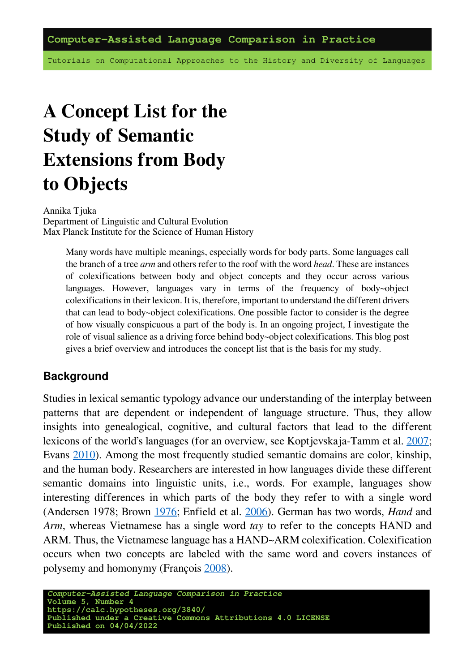Tutorials on Computational Approaches to the History and Diversity of Languages

# **A Concept List for the Study of Semantic Extensions from Body to Objects**

Annika Tjuka Department of Linguistic and Cultural Evolution Max Planck Institute for the Science of Human History

> Many words have multiple meanings, especially words for body parts. Some languages call the branch of a tree *arm* and others refer to the roof with the word *head*. These are instances of colexifications between body and object concepts and they occur across various languages. However, languages vary in terms of the frequency of body~object colexifications in their lexicon. It is, therefore, important to understand the different drivers that can lead to body~object colexifications. One possible factor to consider is the degree of how visually conspicuous a part of the body is. In an ongoing project, I investigate the role of visual salience as a driving force behind body~object colexifications. This blog post gives a brief overview and introduces the concept list that is the basis for my study.

#### **Background**

Studies in lexical semantic typology advance our understanding of the interplay between patterns that are dependent or independent of language structure. Thus, they allow insights into genealogical, cognitive, and cultural factors that lead to the different lexicons of the world's languages (for an overview, see Koptjevskaja-Tamm et al. [2007;](https://doi.org/10.1515/LINGTY.2007.013) Evans [2010](https://doi.org/10.1093/oxfordhb/9780199281251.001.0001)). Among the most frequently studied semantic domains are color, kinship, and the human body. Researchers are interested in how languages divide these different semantic domains into linguistic units, i.e., words. For example, languages show interesting differences in which parts of the body they refer to with a single word (Andersen 1978; Brown [1976;](https://doi.org/10.1525/ae.1976.3.3.02a00020) Enfield et al. [2006](https://doi.org/10.1016/j.langsci.2005.11.001)). German has two words, *Hand* and *Arm*, whereas Vietnamese has a single word *tay* to refer to the concepts HAND and ARM. Thus, the Vietnamese language has a HAND~ARM colexification. Colexification occurs when two concepts are labeled with the same word and covers instances of polysemy and homonymy (François [2008](https://doi.org/10.1075/slcs.106.09fra)).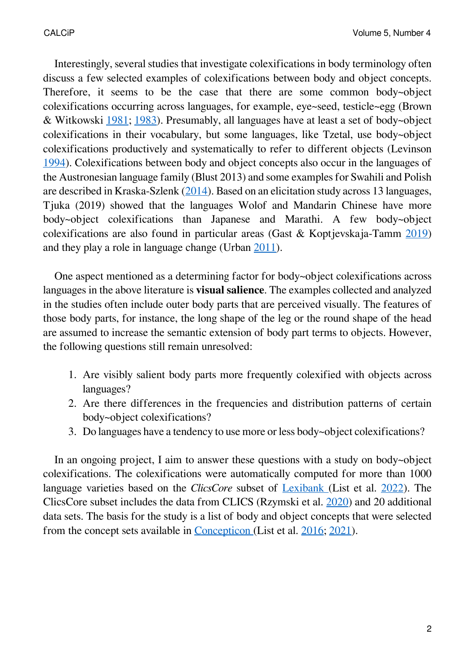Interestingly, several studies that investigate colexifications in body terminology often discuss a few selected examples of colexifications between body and object concepts. Therefore, it seems to be the case that there are some common body~object colexifications occurring across languages, for example, eye~seed, testicle~egg (Brown & Witkowski [1981](https://doi.org/10.1525/ae.1981.8.3.02a00110); [1983](https://doi.org/10.2307/2801765)). Presumably, all languages have at least a set of body~object colexifications in their vocabulary, but some languages, like Tzetal, use body~object colexifications productively and systematically to refer to different objects (Levinson [1994](https://doi.org/10.1515/ling.1994.32.4-5.791)). Colexifications between body and object concepts also occur in the languages of the Austronesian language family (Blust 2013) and some examples for Swahili and Polish are described in Kraska-Szlenk [\(2014](https://doi.org/10.1016/j.langsci.2014.02.002)). Based on an elicitation study across 13 languages, Tjuka (2019) showed that the languages Wolof and Mandarin Chinese have more body~object colexifications than Japanese and Marathi. A few body~object colexifications are also found in particular areas (Gast & Koptjevskaja-Tamm [2019](https://doi.org/10.1515/9783110607963-003)) and they play a role in language change (Urban [2011](https://doi.org/10.1075/jhl.1.1.02urb)).

One aspect mentioned as a determining factor for body~object colexifications across languages in the above literature is **visual salience**. The examples collected and analyzed in the studies often include outer body parts that are perceived visually. The features of those body parts, for instance, the long shape of the leg or the round shape of the head are assumed to increase the semantic extension of body part terms to objects. However, the following questions still remain unresolved:

- 1. Are visibly salient body parts more frequently colexified with objects across languages?
- 2. Are there differences in the frequencies and distribution patterns of certain body~object colexifications?
- 3. Do languages have a tendency to use more or less body~object colexifications?

In an ongoing project, I aim to answer these questions with a study on body~object colexifications. The colexifications were automatically computed for more than 1000 language varieties based on the *ClicsCore* subset of [Lexibank](https://github.com/lexibank) (List et al. [2022\)](https://github.com/lexibank/lexibank-analysed). The ClicsCore subset includes the data from CLICS (Rzymski et al. [2020\)](https://doi.org/10.1038/s41597-019-0341-x) and 20 additional data sets. The basis for the study is a list of body and object concepts that were selected from the concept sets available in [Concepticon](https://concepticon.clld.org/) (List et al. [2016;](https://aclanthology.org/L16-1379/) [2021\)](https://doi.org/10.5281/zenodo.596412).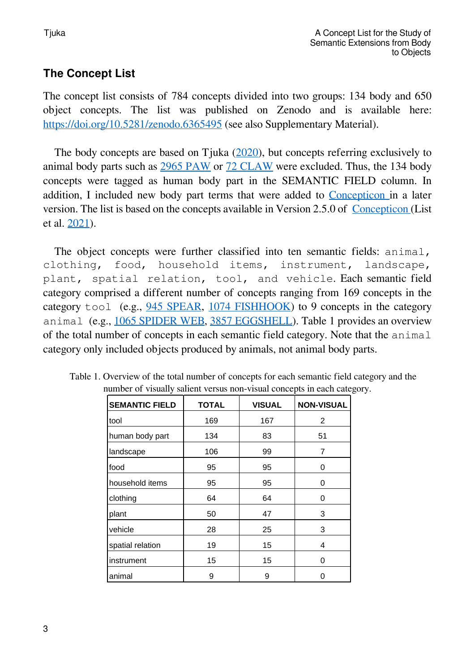# **The Concept List**

The concept list consists of 784 concepts divided into two groups: 134 body and 650 object concepts. The list was published on Zenodo and is available here: <https://doi.org/10.5281/zenodo.6365495> (see also Supplementary Material).

The body concepts are based on Tjuka([2020\)](https://calc.hypotheses.org/2512), but concepts referring exclusively to animal body parts such as [2965 PAW](https://concepticon.clld.org/parameters/2965) or [72 CLAW](https://concepticon.clld.org/parameters/72) were excluded. Thus, the 134 body concepts were tagged as human body part in the SEMANTIC FIELD column. In addition, I included new body part terms that were added to [Concepticon](https://concepticon.clld.org/) in a later version. The list is based on the concepts available in Version 2.5.0 of [Concepticon](https://concepticon.clld.org/) (List et al. [2021\)](https://doi.org/10.5281/zenodo.596412).

The object concepts were further classified into ten semantic fields: animal, clothing, food, household items, instrument, landscape, plant, spatial relation, tool, and vehicle. Each semantic field category comprised a different number of concepts ranging from 169 concepts in the category tool (e.g., [945 SPEAR,](https://concepticon.clld.org/parameters/945) [1074 FISHHOOK](https://concepticon.clld.org/parameters/1074)) to 9 concepts in the category animal (e.g., [1065 SPIDER WEB](https://concepticon.clld.org/parameters/1065), [3857 EGGSHELL](https://concepticon.clld.org/parameters/3857)). Table 1 provides an overview of the total number of concepts in each semantic field category. Note that the animal category only included objects produced by animals, not animal body parts.

| <b>SEMANTIC FIELD</b> | <b>TOTAL</b> | <b>VISUAL</b> | <b>NON-VISUAL</b> |
|-----------------------|--------------|---------------|-------------------|
| tool                  | 169          | 167           | 2                 |
| human body part       | 134          | 83            | 51                |
| landscape             | 106          | 99            | 7                 |
| food                  | 95           | 95            | 0                 |
| household items       | 95           | 95            | 0                 |
| clothing              | 64           | 64            | 0                 |
| plant                 | 50           | 47            | 3                 |
| vehicle               | 28           | 25            | 3                 |
| spatial relation      | 19           | 15            | 4                 |
| instrument            | 15           | 15            | 0                 |
| animal                | 9            | 9             | ი                 |

Table 1. Overview of the total number of concepts for each semantic field category and the number of visually salient versus non-visual concepts in each category.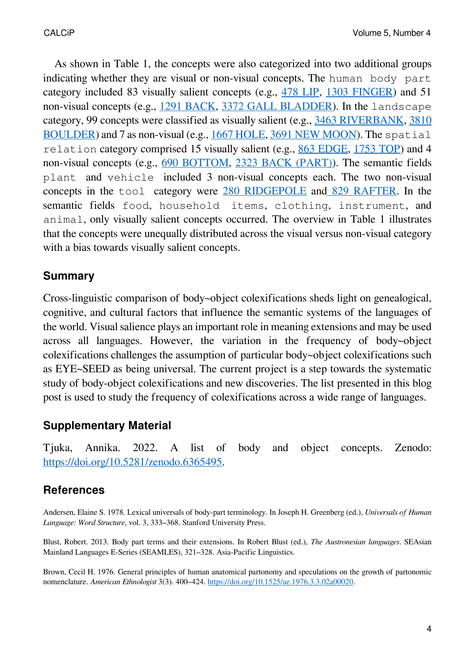As shown in Table 1, the concepts were also categorized into two additional groups indicating whether they are visual or non-visual concepts. The human body part category included 83 visually salient concepts (e.g., [478 LIP](https://concepticon.clld.org/parameters/478), [1303 FINGER](https://concepticon.clld.org/parameters/1303)) and 51 non-visual concepts (e.g., [1291 BACK](https://concepticon.clld.org/parameters/1291), [3372 GALL BLADDER\)](https://concepticon.clld.org/parameters/3372). In the landscape category, 99 concepts were classified as visually salient (e.g., [3463 RIVERBANK](https://concepticon.clld.org/parameters/3463), [3810](https://concepticon.clld.org/parameters/3810) [BOULDER\)](https://concepticon.clld.org/parameters/3810) and 7 as non-visual (e.g., [1667 HOLE](https://concepticon.clld.org/parameters/1667), [3691 NEW MOON\)](https://concepticon.clld.org/parameters/3691). The spatial relation category comprised 15 visually salient (e.g., [863 EDGE,](https://concepticon.clld.org/parameters/863) [1753 TOP\)](https://concepticon.clld.org/parameters/1753) and 4 non-visual concepts (e.g., [690 BOTTOM,](https://concepticon.clld.org/parameters/690) [2323 BACK \(PART\)](https://concepticon.clld.org/parameters/2323)). The semantic fields plant and vehicle included 3 non-visual concepts each. The two non-visual concepts in the tool category were [280 RIDGEPOLE](https://concepticon.clld.org/parameters/280) and [829 RAFTER](https://concepticon.clld.org/parameters/829). In the semantic fields food, household items, clothing, instrument, and animal, only visually salient concepts occurred. The overview in Table 1 illustrates that the concepts were unequally distributed across the visual versus non-visual category with a bias towards visually salient concepts.

### **Summary**

Cross-linguistic comparison of body~object colexifications sheds light on genealogical, cognitive, and cultural factors that influence the semantic systems of the languages of the world. Visual salience plays an important role in meaning extensions and may be used across all languages. However, the variation in the frequency of body~object colexifications challenges the assumption of particular body~object colexifications such as EYE~SEED as being universal. The current project is a step towards the systematic study of body-object colexifications and new discoveries. The list presented in this blog post is used to study the frequency of colexifications across a wide range of languages.

# **Supplementary Material**

Tjuka, Annika. 2022. A list of body and object concepts. Zenodo: <https://doi.org/10.5281/zenodo.6365495>.

# **References**

Andersen, Elaine S. 1978. Lexical universals of body-part terminology. In Joseph H. Greenberg (ed.), *Universals of Human Language: Word Structure*, vol. 3, 333–368. Stanford University Press.

Blust, Robert. 2013. Body part terms and their extensions. In Robert Blust (ed.), *The Austronesian languages*. SEAsian Mainland Languages E-Series (SEAMLES), 321–328. Asia-Pacific Linguistics.

Brown, Cecil H. 1976. General principles of human anatomical partonomy and speculations on the growth of partonomic nomenclature. *American Ethnologist* 3(3). 400–424. [https://doi.org/10.1525/ae.1976.3.3.02a00020.](https://doi.org/10.1525/ae.1976.3.3.02a00020)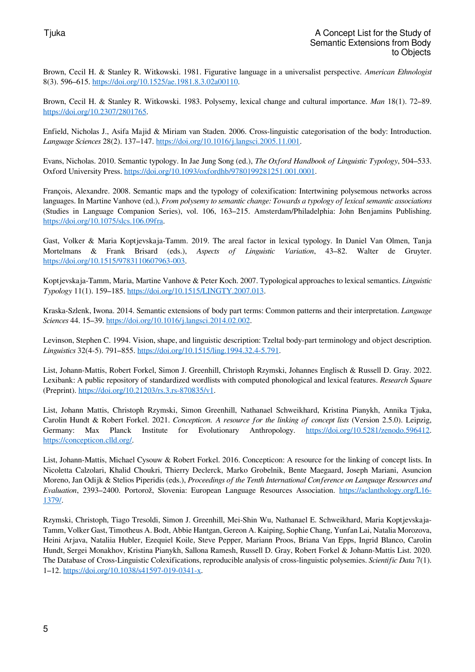Brown, Cecil H. & Stanley R. Witkowski. 1981. Figurative language in a universalist perspective. *American Ethnologist* 8(3). 596–615. <https://doi.org/10.1525/ae.1981.8.3.02a00110>.

Brown, Cecil H. & Stanley R. Witkowski. 1983. Polysemy, lexical change and cultural importance. *Man* 18(1). 72–89. [https://doi.org/10.2307/2801765.](https://doi.org/10.2307/2801765)

Enfield, Nicholas J., Asifa Majid & Miriam van Staden. 2006. Cross-linguistic categorisation of the body: Introduction. *Language Sciences* 28(2). 137–147. [https://doi.org/10.1016/j.langsci.2005.11.001.](https://doi.org/10.1016/j.langsci.2005.11.001)

Evans, Nicholas. 2010. Semantic typology. In Jae Jung Song (ed.), *The Oxford Handbook of Linguistic Typology*, 504–533. Oxford University Press. [https://doi.org/10.1093/oxfordhb/9780199281251.001.0001.](https://doi.org/10.1093/oxfordhb/9780199281251.001.0001)

François, Alexandre. 2008. Semantic maps and the typology of colexification: Intertwining polysemous networks across languages. In Martine Vanhove (ed.), *From polysemy to semantic change: Towards a typology of lexical semantic associations* (Studies in Language Companion Series), vol. 106, 163–215. Amsterdam/Philadelphia: John Benjamins Publishing. <https://doi.org/10.1075/slcs.106.09fra>.

Gast, Volker & Maria Koptjevskaja-Tamm. 2019. The areal factor in lexical typology. In Daniël Van Olmen, Tanja Mortelmans & Frank Brisard (eds.), *Aspects of Linguistic Variation*, 43–82. Walter de Gruyter. [https://doi.org/10.1515/9783110607963-003.](https://doi.org/10.1515/9783110607963-003)

Koptjevskaja-Tamm, Maria, Martine Vanhove & Peter Koch. 2007. Typological approaches to lexical semantics. *Linguistic Typology* 11(1). 159–185. [https://doi.org/10.1515/LINGTY.2007.013.](https://doi.org/10.1515/LINGTY.2007.013)

Kraska-Szlenk, Iwona. 2014. Semantic extensions of body part terms: Common patterns and their interpretation. *Language Sciences* 44. 15–39. <https://doi.org/10.1016/j.langsci.2014.02.002>.

Levinson, Stephen C. 1994. Vision, shape, and linguistic description: Tzeltal body-part terminology and object description. *Linguistics* 32(4-5). 791–855. [https://doi.org/10.1515/ling.1994.32.4-5.791.](https://doi.org/10.1515/ling.1994.32.4-5.791)

List, Johann-Mattis, Robert Forkel, Simon J. Greenhill, Christoph Rzymski, Johannes Englisch & Russell D. Gray. 2022. Lexibank: A public repository of standardized wordlists with computed phonological and lexical features. *Research Square* (Preprint). [https://doi.org/10.21203/rs.3.rs-870835/v1.](https://doi.org/10.21203/rs.3.rs-870835/v1)

List, Johann Mattis, Christoph Rzymski, Simon Greenhill, Nathanael Schweikhard, Kristina Pianykh, Annika Tjuka, Carolin Hundt & Robert Forkel. 2021. *Concepticon. A resource for the linking of concept lists* (Version 2.5.0). Leipzig, Germany: Max Planck Institute for Evolutionary Anthropology. [https://doi.org/10.5281/zenodo.596412.](https://doi.org/10.5281/zenodo.596412) <https://concepticon.clld.org/>.

List, Johann-Mattis, Michael Cysouw & Robert Forkel. 2016. Concepticon: A resource for the linking of concept lists. In Nicoletta Calzolari, Khalid Choukri, Thierry Declerck, Marko Grobelnik, Bente Maegaard, Joseph Mariani, Asuncion Moreno, Jan Odijk & Stelios Piperidis (eds.), *Proceedings of the Tenth International Conference on Language Resources and Evaluation*, 2393–2400. Portorož, Slovenia: European Language Resources Association. [https://aclanthology.org/L16-](https://aclanthology.org/L16-1379/) [1379/](https://aclanthology.org/L16-1379/).

Rzymski, Christoph, Tiago Tresoldi, Simon J. Greenhill, Mei-Shin Wu, Nathanael E. Schweikhard, Maria Koptjevskaja-Tamm, Volker Gast, Timotheus A. Bodt, Abbie Hantgan, Gereon A. Kaiping, Sophie Chang, Yunfan Lai, Natalia Morozova, Heini Arjava, Nataliia Hübler, Ezequiel Koile, Steve Pepper, Mariann Proos, Briana Van Epps, Ingrid Blanco, Carolin Hundt, Sergei Monakhov, Kristina Pianykh, Sallona Ramesh, Russell D. Gray, Robert Forkel & Johann-Mattis List. 2020. The Database of Cross-Linguistic Colexifications, reproducible analysis of cross-linguistic polysemies. *Scientific Data* 7(1). 1–12. [https://doi.org/10.1038/s41597-019-0341-x.](https://doi.org/10.1038/s41597-019-0341-x)